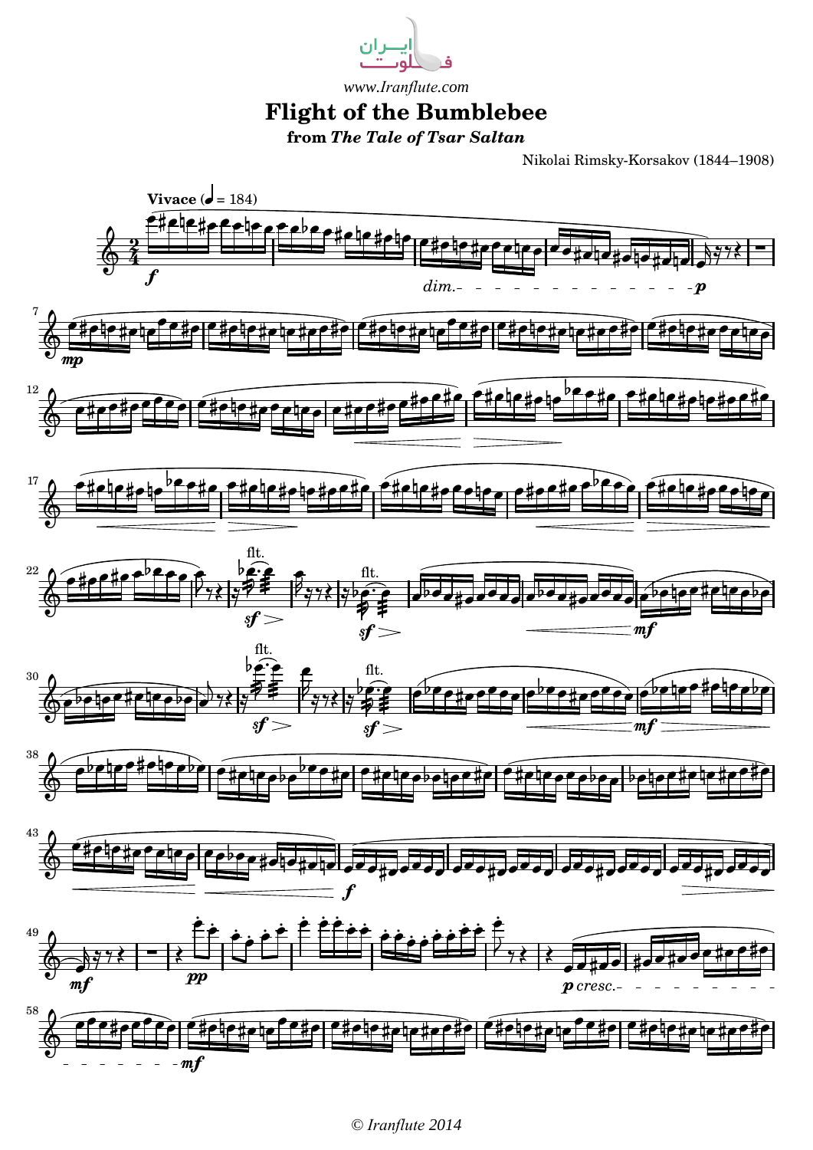

## **Flight of the Bumblebee from** *The Tale of Tsar Saltan www.Iranflute.com*

Nikolai Rimsky-Korsakov (1844–1908)



*© Iranflute 2014*